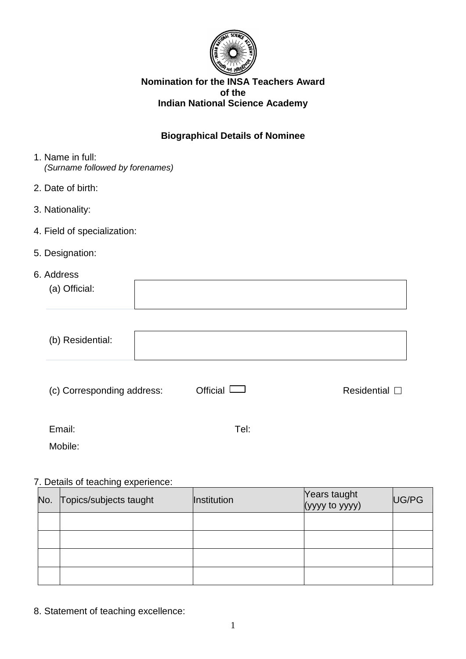

### **Nomination for the INSA Teachers Award of the Indian National Science Academy**

## **Biographical Details of Nominee**

- 1. Name in full: *(Surname followed by forenames)*
- 2. Date of birth:
- 3. Nationality:
- 4. Field of specialization:
- 5. Designation:
- 6. Address

| www.co        |  |
|---------------|--|
| (a) Official: |  |
|               |  |

| (b) Residential:           |                                        |                       |
|----------------------------|----------------------------------------|-----------------------|
| (c) Corresponding address: | Official I<br>$\overline{\phantom{0}}$ | Residential $\square$ |
| Email:                     | Tel:                                   |                       |
| Mobile:                    |                                        |                       |

## 7. Details of teaching experience:

| No. | Topics/subjects taught | <b>Institution</b> | Years taught<br>(yyyy to yyyy) | UG/PG |
|-----|------------------------|--------------------|--------------------------------|-------|
|     |                        |                    |                                |       |
|     |                        |                    |                                |       |
|     |                        |                    |                                |       |
|     |                        |                    |                                |       |

8. Statement of teaching excellence: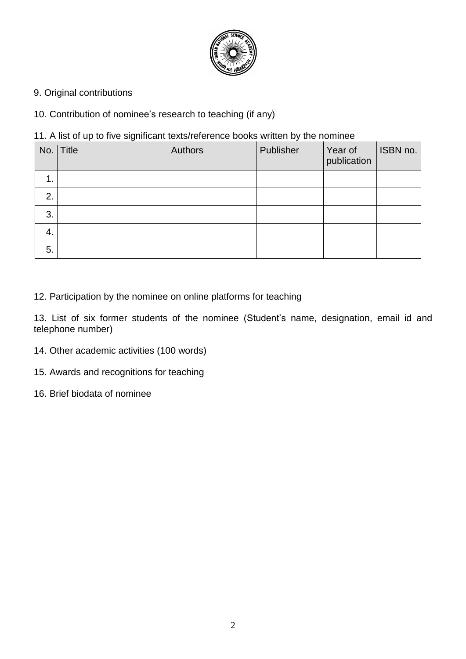

9. Original contributions

10. Contribution of nominee's research to teaching (if any)

11. A list of up to five significant texts/reference books written by the nominee

|    | No. Title | Authors | Publisher | Year of<br>publication | ISBN no. |
|----|-----------|---------|-----------|------------------------|----------|
| 1. |           |         |           |                        |          |
| 2. |           |         |           |                        |          |
| 3. |           |         |           |                        |          |
| 4. |           |         |           |                        |          |
| 5. |           |         |           |                        |          |

12. Participation by the nominee on online platforms for teaching

13. List of six former students of the nominee (Student's name, designation, email id and telephone number)

- 14. Other academic activities (100 words)
- 15. Awards and recognitions for teaching
- 16. Brief biodata of nominee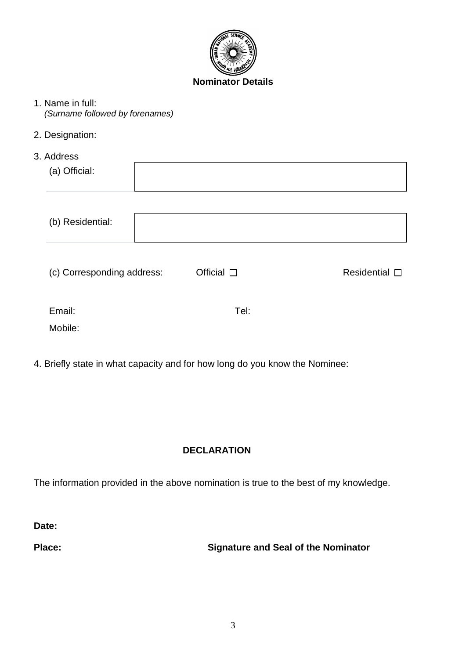

- 1. Name in full: *(Surname followed by forenames)*
- 2. Designation:
- 3. Address

| (c) Corresponding address: | Official $\square$ | Residential $\square$ |
|----------------------------|--------------------|-----------------------|
|                            |                    |                       |
|                            |                    | Tel:                  |

4. Briefly state in what capacity and for how long do you know the Nominee:

# **DECLARATION**

The information provided in the above nomination is true to the best of my knowledge.

**Date:**

**Place: Signature and Seal of the Nominator**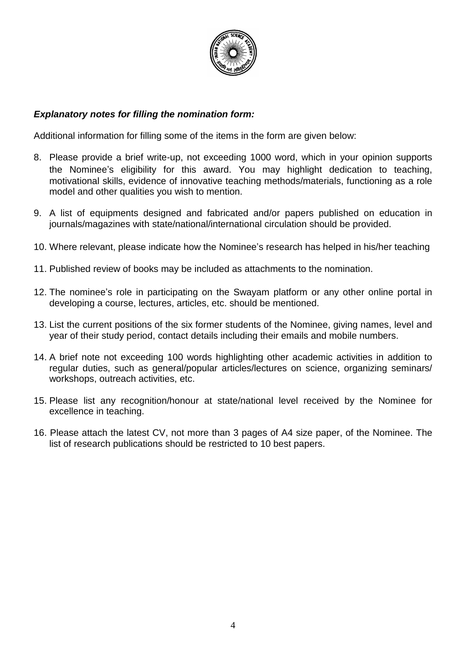

## *Explanatory notes for filling the nomination form:*

Additional information for filling some of the items in the form are given below:

- 8. Please provide a brief write-up, not exceeding 1000 word, which in your opinion supports the Nominee's eligibility for this award. You may highlight dedication to teaching, motivational skills, evidence of innovative teaching methods/materials, functioning as a role model and other qualities you wish to mention.
- 9. A list of equipments designed and fabricated and/or papers published on education in journals/magazines with state/national/international circulation should be provided.
- 10. Where relevant, please indicate how the Nominee's research has helped in his/her teaching
- 11. Published review of books may be included as attachments to the nomination.
- 12. The nominee's role in participating on the Swayam platform or any other online portal in developing a course, lectures, articles, etc. should be mentioned.
- 13. List the current positions of the six former students of the Nominee, giving names, level and year of their study period, contact details including their emails and mobile numbers.
- 14. A brief note not exceeding 100 words highlighting other academic activities in addition to regular duties, such as general/popular articles/lectures on science, organizing seminars/ workshops, outreach activities, etc.
- 15. Please list any recognition/honour at state/national level received by the Nominee for excellence in teaching.
- 16. Please attach the latest CV, not more than 3 pages of A4 size paper, of the Nominee. The list of research publications should be restricted to 10 best papers.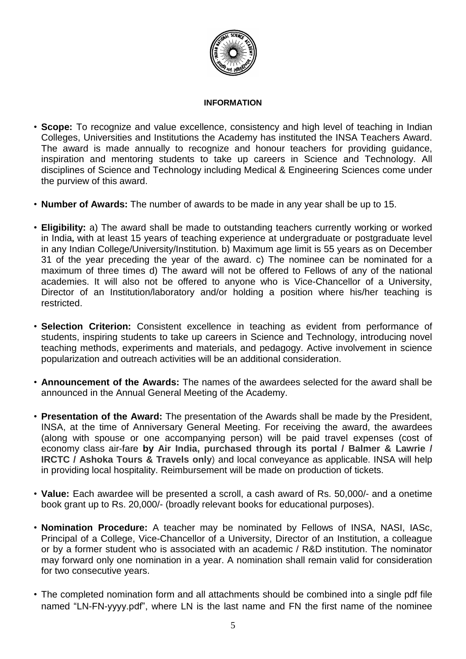

#### **INFORMATION**

- **Scope:** To recognize and value excellence, consistency and high level of teaching in Indian Colleges, Universities and Institutions the Academy has instituted the INSA Teachers Award. The award is made annually to recognize and honour teachers for providing guidance, inspiration and mentoring students to take up careers in Science and Technology. All disciplines of Science and Technology including Medical & Engineering Sciences come under the purview of this award.
- **Number of Awards:** The number of awards to be made in any year shall be up to 15.
- **Eligibility:** a) The award shall be made to outstanding teachers currently working or worked in India**,** with at least 15 years of teaching experience at undergraduate or postgraduate level in any Indian College/University/Institution. b) Maximum age limit is 55 years as on December 31 of the year preceding the year of the award. c) The nominee can be nominated for a maximum of three times d) The award will not be offered to Fellows of any of the national academies. It will also not be offered to anyone who is Vice-Chancellor of a University, Director of an Institution/laboratory and/or holding a position where his/her teaching is restricted.
- **Selection Criterion:** Consistent excellence in teaching as evident from performance of students, inspiring students to take up careers in Science and Technology, introducing novel teaching methods, experiments and materials, and pedagogy. Active involvement in science popularization and outreach activities will be an additional consideration.
- **Announcement of the Awards:** The names of the awardees selected for the award shall be announced in the Annual General Meeting of the Academy.
- **Presentation of the Award:** The presentation of the Awards shall be made by the President, INSA, at the time of Anniversary General Meeting. For receiving the award, the awardees (along with spouse or one accompanying person) will be paid travel expenses (cost of economy class air-fare **by Air India, purchased through its portal / Balmer & Lawrie / IRCTC / Ashoka Tours & Travels only**) and local conveyance as applicable. INSA will help in providing local hospitality. Reimbursement will be made on production of tickets.
- **Value:** Each awardee will be presented a scroll, a cash award of Rs. 50,000/- and a onetime book grant up to Rs. 20,000/- (broadly relevant books for educational purposes).
- **Nomination Procedure:** A teacher may be nominated by Fellows of INSA, NASI, IASc, Principal of a College, Vice-Chancellor of a University, Director of an Institution, a colleague or by a former student who is associated with an academic / R&D institution. The nominator may forward only one nomination in a year. A nomination shall remain valid for consideration for two consecutive years.
- The completed nomination form and all attachments should be combined into a single pdf file named "LN-FN-yyyy.pdf", where LN is the last name and FN the first name of the nominee